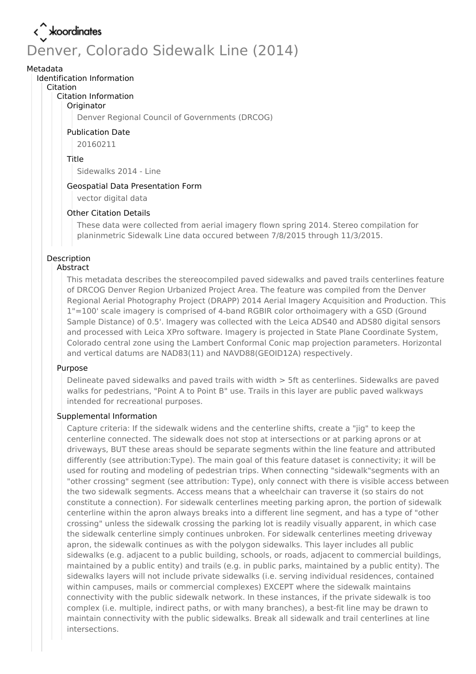# Denver, Colorado Sidewalk Line (2014)

#### Metadata

#### Identification Information

#### Citation

#### Citation Information

#### **Originator**

Denver Regional Council of Governments (DRCOG)

#### Publication Date

20160211

#### Title

Sidewalks 2014 - Line

#### Geospatial Data Presentation Form

vector digital data

#### Other Citation Details

These data were collected from aerial imagery flown spring 2014. Stereo compilation for planinmetric Sidewalk Line data occured between 7/8/2015 through 11/3/2015.

#### Description Abstract

This metadata describes the stereocompiled paved sidewalks and paved trails centerlines feature of DRCOG Denver Region Urbanized Project Area. The feature was compiled from the Denver Regional Aerial Photography Project (DRAPP) 2014 Aerial Imagery Acquisition and Production. This 1"=100' scale imagery is comprised of 4-band RGBIR color orthoimagery with a GSD (Ground Sample Distance) of 0.5'. Imagery was collected with the Leica ADS40 and ADS80 digital sensors and processed with Leica XPro software. Imagery is projected in State Plane Coordinate System, Colorado central zone using the Lambert Conformal Conic map projection parameters. Horizontal and vertical datums are NAD83(11) and NAVD88(GEOID12A) respectively.

#### Purpose

Delineate paved sidewalks and paved trails with width > 5ft as centerlines. Sidewalks are paved walks for pedestrians, "Point A to Point B" use. Trails in this layer are public paved walkways intended for recreational purposes.

#### Supplemental Information

Capture criteria: If the sidewalk widens and the centerline shifts, create a "jig" to keep the centerline connected. The sidewalk does not stop at intersections or at parking aprons or at driveways, BUT these areas should be separate segments within the line feature and attributed differently (see attribution:Type). The main goal of this feature dataset is connectivity; it will be used for routing and modeling of pedestrian trips. When connecting "sidewalk"segments with an "other crossing" segment (see attribution: Type), only connect with there is visible access between the two sidewalk segments. Access means that a wheelchair can traverse it (so stairs do not constitute a connection). For sidewalk centerlines meeting parking apron, the portion of sidewalk centerline within the apron always breaks into a different line segment, and has a type of "other crossing" unless the sidewalk crossing the parking lot is readily visually apparent, in which case the sidewalk centerline simply continues unbroken. For sidewalk centerlines meeting driveway apron, the sidewalk continues as with the polygon sidewalks. This layer includes all public sidewalks (e.g. adjacent to a public building, schools, or roads, adjacent to commercial buildings, maintained by a public entity) and trails (e.g. in public parks, maintained by a public entity). The sidewalks layers will not include private sidewalks (i.e. serving individual residences, contained within campuses, mails or commercial complexes) EXCEPT where the sidewalk maintains connectivity with the public sidewalk network. In these instances, if the private sidewalk is too complex (i.e. multiple, indirect paths, or with many branches), a best-fit line may be drawn to maintain connectivity with the public sidewalks. Break all sidewalk and trail centerlines at line intersections.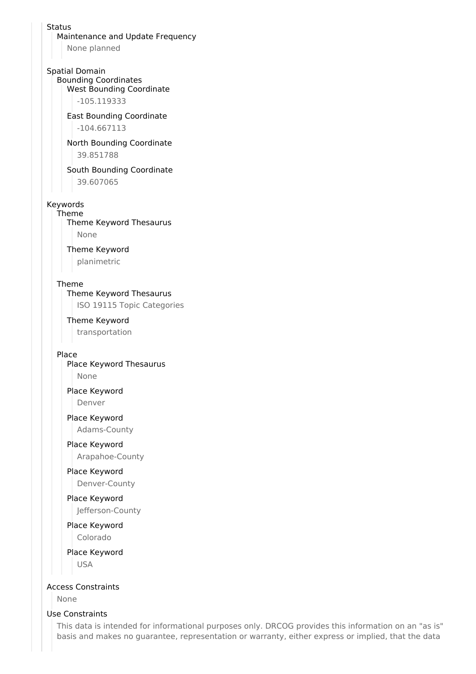#### **Status**

Maintenance and Update Frequency

None planned

#### Spatial Domain

Bounding Coordinates

West Bounding Coordinate

-105.119333

East Bounding Coordinate -104.667113

North Bounding Coordinate 39.851788

South Bounding Coordinate 39.607065

#### Keywords

Theme Theme Keyword Thesaurus None

Theme Keyword

planimetric

#### Theme

Theme Keyword Thesaurus

ISO 19115 Topic Categories

#### Theme Keyword

transportation

#### Place

Place Keyword Thesaurus None

Place Keyword Denver

### Place Keyword

Adams-County

#### Place Keyword

Arapahoe-County

# Place Keyword

Denver-County

### Place Keyword Jefferson-County

Place Keyword Colorado

Place Keyword USA

#### Access Constraints

None

#### Use Constraints

This data is intended for informational purposes only. DRCOG provides this information on an "as is" basis and makes no guarantee, representation or warranty, either express or implied, that the data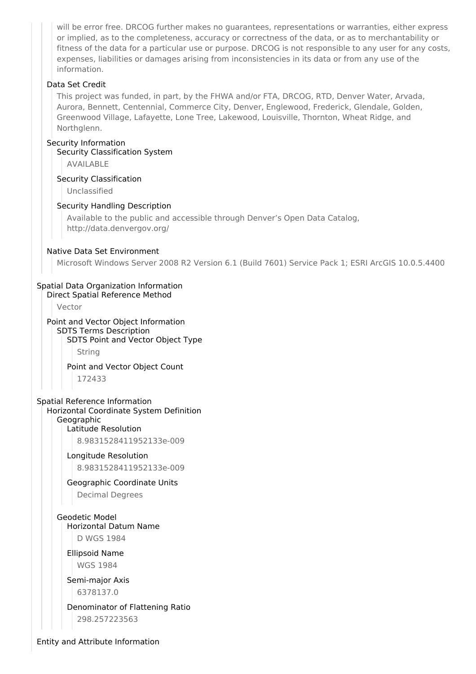will be error free. DRCOG further makes no guarantees, representations or warranties, either express or implied, as to the completeness, accuracy or correctness of the data, or as to merchantability or fitness of the data for a particular use or purpose. DRCOG is not responsible to any user for any costs, expenses, liabilities or damages arising from inconsistencies in its data or from any use of the information.

#### Data Set Credit

This project was funded, in part, by the FHWA and/or FTA, DRCOG, RTD, Denver Water, Arvada, Aurora, Bennett, Centennial, Commerce City, Denver, Englewood, Frederick, Glendale, Golden, Greenwood Village, Lafayette, Lone Tree, Lakewood, Louisville, Thornton, Wheat Ridge, and Northglenn.

#### Security Information

Security Classification System

AVAILABLE

#### Security Classification

Unclassified

#### Security Handling Description

Available to the public and accessible through Denver's Open Data Catalog, http://data.denvergov.org/

#### Native Data Set Environment

Microsoft Windows Server 2008 R2 Version 6.1 (Build 7601) Service Pack 1; ESRI ArcGIS 10.0.5.4400

#### Spatial Data Organization Information

Direct Spatial Reference Method

Vector

#### Point and Vector Object Information SDTS Terms Description SDTS Point and Vector Object Type

String

Point and Vector Object Count 172433

#### Spatial Reference Information Horizontal Coordinate System Definition Geographic

Latitude Resolution

8.9831528411952133e-009

#### Longitude Resolution

8.9831528411952133e-009

## Geographic Coordinate Units

Decimal Degrees

## Geodetic Model Horizontal Datum Name

D WGS 1984

#### Ellipsoid Name WGS 1984

Semi-major Axis 6378137.0

### Denominator of Flattening Ratio 298.257223563

Entity and Attribute Information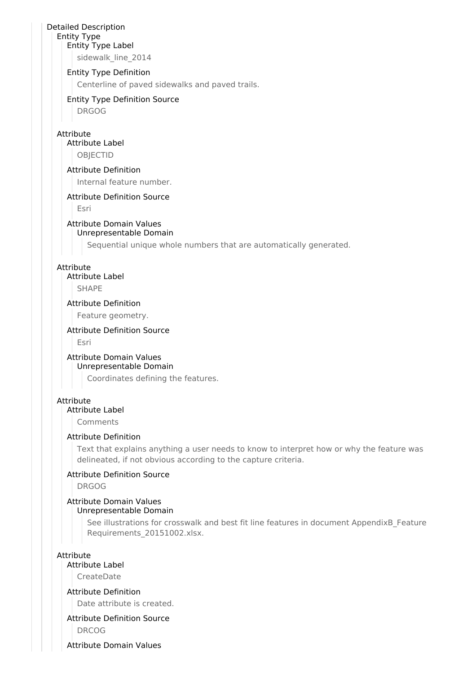#### Detailed Description

#### Entity Type Entity Type Label

sidewalk line 2014

#### Entity Type Definition

Centerline of paved sidewalks and paved trails.

#### Entity Type Definition Source

DRGOG

#### Attribute

## Attribute Label

**OBIECTID** 

#### Attribute Definition

Internal feature number.

#### Attribute Definition Source

Esri

## Attribute Domain Values

### Unrepresentable Domain

Sequential unique whole numbers that are automatically generated.

#### Attribute

#### Attribute Label

**SHAPF** 

#### Attribute Definition

Feature geometry.

#### Attribute Definition Source

Esri

#### Attribute Domain Values Unrepresentable Domain

Coordinates defining the features.

#### Attribute

#### Attribute Label

Comments

#### Attribute Definition

Text that explains anything a user needs to know to interpret how or why the feature was delineated, if not obvious according to the capture criteria.

#### Attribute Definition Source

DRGOG

#### Attribute Domain Values Unrepresentable Domain

See illustrations for crosswalk and best fit line features in document AppendixB\_Feature Requirements\_20151002.xlsx.

#### Attribute

## Attribute Label

CreateDate

### Attribute Definition

Date attribute is created.

### Attribute Definition Source

DRCOG

Attribute Domain Values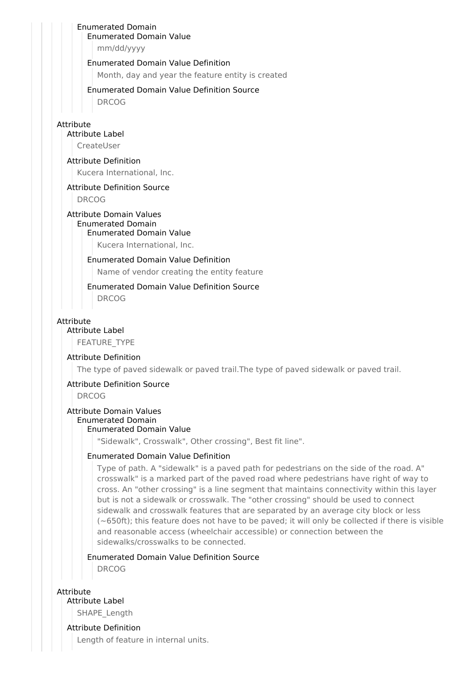## Enumerated Domain

Enumerated Domain Value

mm/dd/yyyy

#### Enumerated Domain Value Definition

Month, day and year the feature entity is created

#### Enumerated Domain Value Definition Source

DRCOG

#### Attribute

#### Attribute Label

CreateUser

#### Attribute Definition

Kucera International, Inc.

#### Attribute Definition Source

DRCOG

#### Attribute Domain Values Enumerated Domain

#### Enumerated Domain Value

Kucera International, Inc.

#### Enumerated Domain Value Definition

Name of vendor creating the entity feature

# Enumerated Domain Value Definition Source

DRCOG

#### Attribute

Attribute Label

FEATURE\_TYPE

#### Attribute Definition

The type of paved sidewalk or paved trail.The type of paved sidewalk or paved trail.

#### Attribute Definition Source

DRCOG

### Attribute Domain Values

#### Enumerated Domain

## Enumerated Domain Value

"Sidewalk", Crosswalk", Other crossing", Best fit line".

### Enumerated Domain Value Definition

Type of path. A "sidewalk" is a paved path for pedestrians on the side of the road. A" crosswalk" is a marked part of the paved road where pedestrians have right of way to cross. An "other crossing" is a line segment that maintains connectivity within this layer but is not a sidewalk or crosswalk. The "other crossing" should be used to connect sidewalk and crosswalk features that are separated by an average city block or less (~650ft); this feature does not have to be paved; it will only be collected if there is visible and reasonable access (wheelchair accessible) or connection between the sidewalks/crosswalks to be connected.

#### Enumerated Domain Value Definition Source DRCOG

**Attribute** 

### Attribute Label

SHAPE Length

## Attribute Definition

Length of feature in internal units.